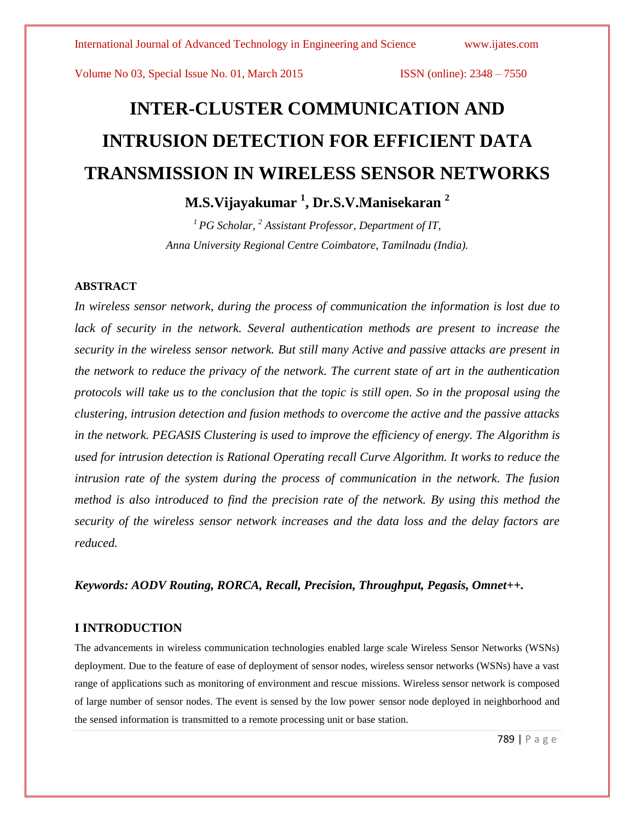# **INTER-CLUSTER COMMUNICATION AND INTRUSION DETECTION FOR EFFICIENT DATA TRANSMISSION IN WIRELESS SENSOR NETWORKS**

**M.S.Vijayakumar <sup>1</sup> , Dr.S.V.Manisekaran <sup>2</sup>**

*<sup>1</sup>PG Scholar, <sup>2</sup> Assistant Professor, Department of IT, Anna University Regional Centre Coimbatore, Tamilnadu (India).*

# **ABSTRACT**

*In wireless sensor network, during the process of communication the information is lost due to lack of security in the network. Several authentication methods are present to increase the security in the wireless sensor network. But still many Active and passive attacks are present in the network to reduce the privacy of the network. The current state of art in the authentication protocols will take us to the conclusion that the topic is still open. So in the proposal using the clustering, intrusion detection and fusion methods to overcome the active and the passive attacks in the network. PEGASIS Clustering is used to improve the efficiency of energy. The Algorithm is used for intrusion detection is Rational Operating recall Curve Algorithm. It works to reduce the intrusion rate of the system during the process of communication in the network. The fusion method is also introduced to find the precision rate of the network. By using this method the security of the wireless sensor network increases and the data loss and the delay factors are reduced.*

*Keywords: AODV Routing, RORCA, Recall, Precision, Throughput, Pegasis, Omnet++.* 

# **I INTRODUCTION**

The advancements in wireless communication technologies enabled large scale Wireless Sensor Networks (WSNs) deployment. Due to the feature of ease of deployment of sensor nodes, wireless sensor networks (WSNs) have a vast range of applications such as monitoring of environment and rescue missions. Wireless sensor network is composed of large number of sensor nodes. The event is sensed by the low power sensor node deployed in neighborhood and the sensed information is transmitted to a remote processing unit or base station.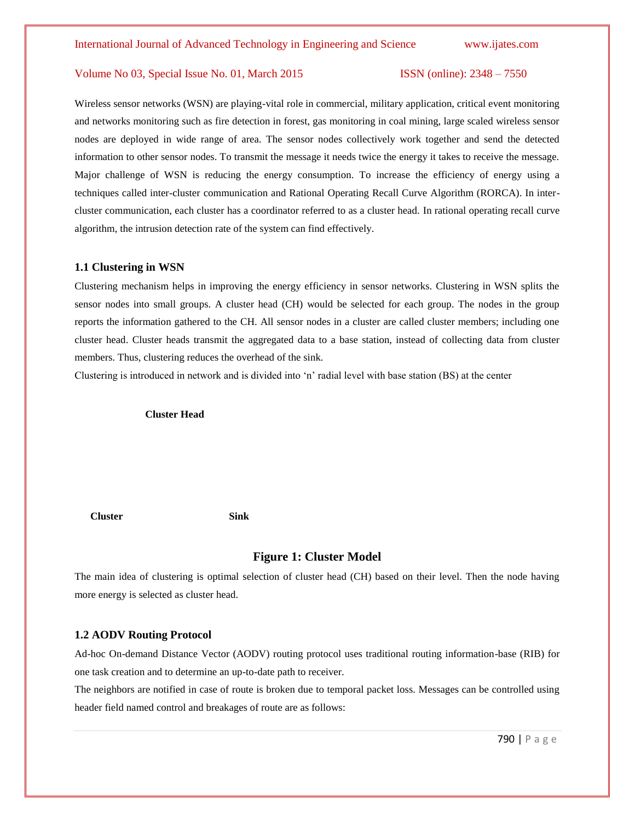Wireless sensor networks (WSN) are playing-vital role in commercial, military application, critical event monitoring and networks monitoring such as fire detection in forest, gas monitoring in coal mining, large scaled wireless sensor nodes are deployed in wide range of area. The sensor nodes collectively work together and send the detected information to other sensor nodes. To transmit the message it needs twice the energy it takes to receive the message. Major challenge of WSN is reducing the energy consumption. To increase the efficiency of energy using a techniques called inter-cluster communication and Rational Operating Recall Curve Algorithm (RORCA). In intercluster communication, each cluster has a coordinator referred to as a cluster head. In rational operating recall curve algorithm, the intrusion detection rate of the system can find effectively.

#### **1.1 Clustering in WSN**

Clustering mechanism helps in improving the energy efficiency in sensor networks. Clustering in WSN splits the sensor nodes into small groups. A cluster head (CH) would be selected for each group. The nodes in the group reports the information gathered to the CH. All sensor nodes in a cluster are called cluster members; including one cluster head. Cluster heads transmit the aggregated data to a base station, instead of collecting data from cluster members. Thus, clustering reduces the overhead of the sink.

Clustering is introduced in network and is divided into 'n' radial level with base station (BS) at the center

#### **Cluster Head**

#### **Cluster Sink**

#### **Figure 1: Cluster Model**

The main idea of clustering is optimal selection of cluster head (CH) based on their level. Then the node having more energy is selected as cluster head.

#### **1.2 AODV Routing Protocol**

Ad-hoc On-demand Distance Vector (AODV) routing protocol uses traditional routing information-base (RIB) for one task creation and to determine an up-to-date path to receiver.

The neighbors are notified in case of route is broken due to temporal packet loss. Messages can be controlled using header field named control and breakages of route are as follows: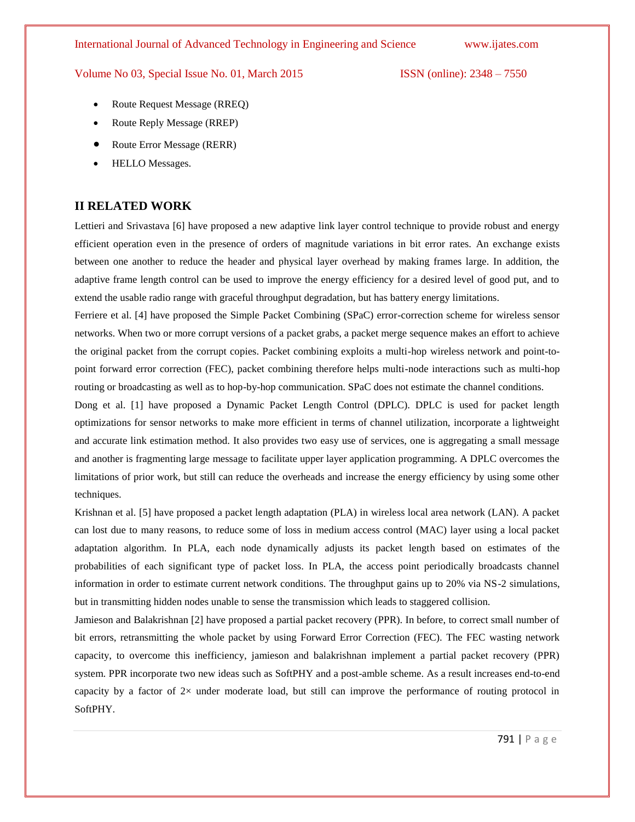### International Journal of Advanced Technology in Engineering and Science www.ijates.com

#### Volume No 03, Special Issue No. 01, March 2015 **ISSN** (online): 2348 – 7550

- Route Request Message (RREQ)
- Route Reply Message (RREP)
- Route Error Message (RERR)
- HELLO Messages.

# **II RELATED WORK**

Lettieri and Srivastava [6] have proposed a new adaptive link layer control technique to provide robust and energy efficient operation even in the presence of orders of magnitude variations in bit error rates. An exchange exists between one another to reduce the header and physical layer overhead by making frames large. In addition, the adaptive frame length control can be used to improve the energy efficiency for a desired level of good put, and to extend the usable radio range with graceful throughput degradation, but has battery energy limitations.

Ferriere et al. [4] have proposed the Simple Packet Combining (SPaC) error-correction scheme for wireless sensor networks. When two or more corrupt versions of a packet grabs, a packet merge sequence makes an effort to achieve the original packet from the corrupt copies. Packet combining exploits a multi-hop wireless network and point-topoint forward error correction (FEC), packet combining therefore helps multi-node interactions such as multi-hop routing or broadcasting as well as to hop-by-hop communication. SPaC does not estimate the channel conditions.

Dong et al. [1] have proposed a Dynamic Packet Length Control (DPLC). DPLC is used for packet length optimizations for sensor networks to make more efficient in terms of channel utilization, incorporate a lightweight and accurate link estimation method. It also provides two easy use of services, one is aggregating a small message and another is fragmenting large message to facilitate upper layer application programming. A DPLC overcomes the limitations of prior work, but still can reduce the overheads and increase the energy efficiency by using some other techniques.

Krishnan et al. [5] have proposed a packet length adaptation (PLA) in wireless local area network (LAN). A packet can lost due to many reasons, to reduce some of loss in medium access control (MAC) layer using a local packet adaptation algorithm. In PLA, each node dynamically adjusts its packet length based on estimates of the probabilities of each significant type of packet loss. In PLA, the access point periodically broadcasts channel information in order to estimate current network conditions. The throughput gains up to 20% via NS-2 simulations, but in transmitting hidden nodes unable to sense the transmission which leads to staggered collision.

Jamieson and Balakrishnan [2] have proposed a partial packet recovery (PPR). In before, to correct small number of bit errors, retransmitting the whole packet by using Forward Error Correction (FEC). The FEC wasting network capacity, to overcome this inefficiency, jamieson and balakrishnan implement a partial packet recovery (PPR) system. PPR incorporate two new ideas such as SoftPHY and a post-amble scheme. As a result increases end-to-end capacity by a factor of  $2\times$  under moderate load, but still can improve the performance of routing protocol in SoftPHY.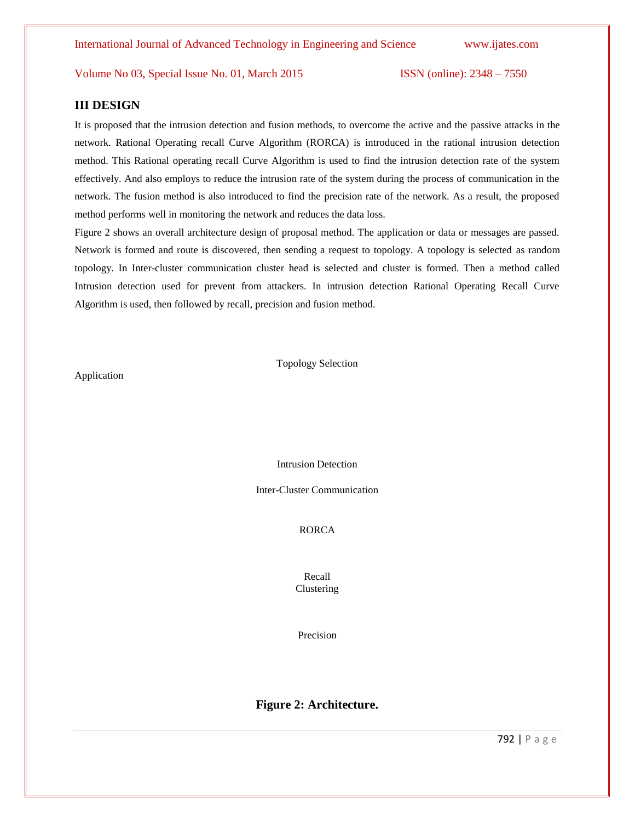# **III DESIGN**

It is proposed that the intrusion detection and fusion methods, to overcome the active and the passive attacks in the network. Rational Operating recall Curve Algorithm (RORCA) is introduced in the rational intrusion detection method. This Rational operating recall Curve Algorithm is used to find the intrusion detection rate of the system effectively. And also employs to reduce the intrusion rate of the system during the process of communication in the network. The fusion method is also introduced to find the precision rate of the network. As a result, the proposed method performs well in monitoring the network and reduces the data loss.

Figure 2 shows an overall architecture design of proposal method. The application or data or messages are passed. Network is formed and route is discovered, then sending a request to topology. A topology is selected as random topology. In Inter-cluster communication cluster head is selected and cluster is formed. Then a method called Intrusion detection used for prevent from attackers. In intrusion detection Rational Operating Recall Curve Algorithm is used, then followed by recall, precision and fusion method.

Application

Topology Selection

Intrusion Detection

Inter-Cluster Communication

RORCA

Recall Clustering

Precision

# **Figure 2: Architecture.**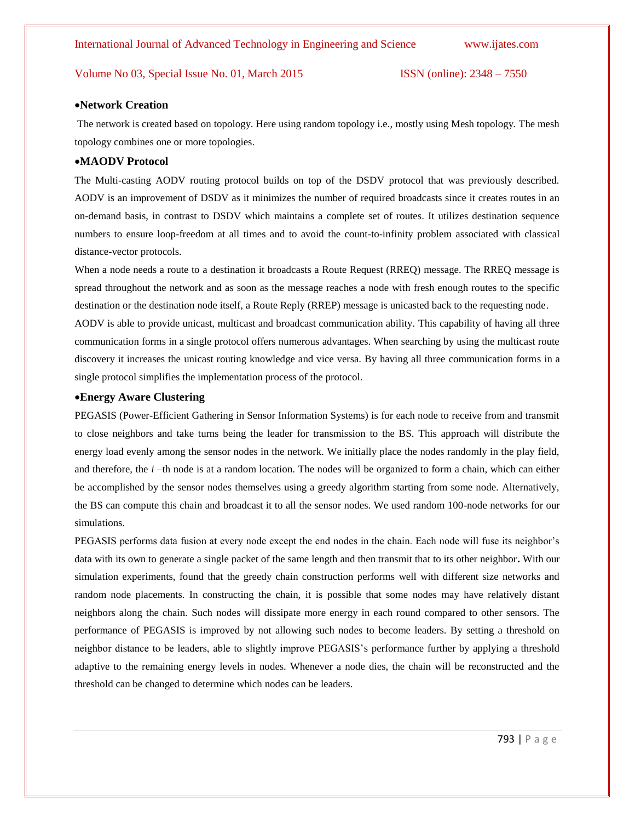#### **Network Creation**

The network is created based on topology. Here using random topology i.e., mostly using Mesh topology. The mesh topology combines one or more topologies.

### **MAODV Protocol**

The Multi-casting AODV routing protocol builds on top of the DSDV protocol that was previously described. AODV is an improvement of DSDV as it minimizes the number of required broadcasts since it creates routes in an on-demand basis, in contrast to DSDV which maintains a complete set of routes. It utilizes destination sequence numbers to ensure loop-freedom at all times and to avoid the count-to-infinity problem associated with classical distance-vector protocols.

When a node needs a route to a destination it broadcasts a Route Request (RREQ) message. The RREQ message is spread throughout the network and as soon as the message reaches a node with fresh enough routes to the specific destination or the destination node itself, a Route Reply (RREP) message is unicasted back to the requesting node.

AODV is able to provide unicast, multicast and broadcast communication ability. This capability of having all three communication forms in a single protocol offers numerous advantages. When searching by using the multicast route discovery it increases the unicast routing knowledge and vice versa. By having all three communication forms in a single protocol simplifies the implementation process of the protocol.

#### **Energy Aware Clustering**

PEGASIS (Power-Efficient Gathering in Sensor Information Systems) is for each node to receive from and transmit to close neighbors and take turns being the leader for transmission to the BS. This approach will distribute the energy load evenly among the sensor nodes in the network. We initially place the nodes randomly in the play field, and therefore, the *i* –th node is at a random location. The nodes will be organized to form a chain, which can either be accomplished by the sensor nodes themselves using a greedy algorithm starting from some node. Alternatively, the BS can compute this chain and broadcast it to all the sensor nodes. We used random 100-node networks for our simulations.

PEGASIS performs data fusion at every node except the end nodes in the chain. Each node will fuse its neighbor's data with its own to generate a single packet of the same length and then transmit that to its other neighbor**.** With our simulation experiments, found that the greedy chain construction performs well with different size networks and random node placements. In constructing the chain, it is possible that some nodes may have relatively distant neighbors along the chain. Such nodes will dissipate more energy in each round compared to other sensors. The performance of PEGASIS is improved by not allowing such nodes to become leaders. By setting a threshold on neighbor distance to be leaders, able to slightly improve PEGASIS's performance further by applying a threshold adaptive to the remaining energy levels in nodes. Whenever a node dies, the chain will be reconstructed and the threshold can be changed to determine which nodes can be leaders.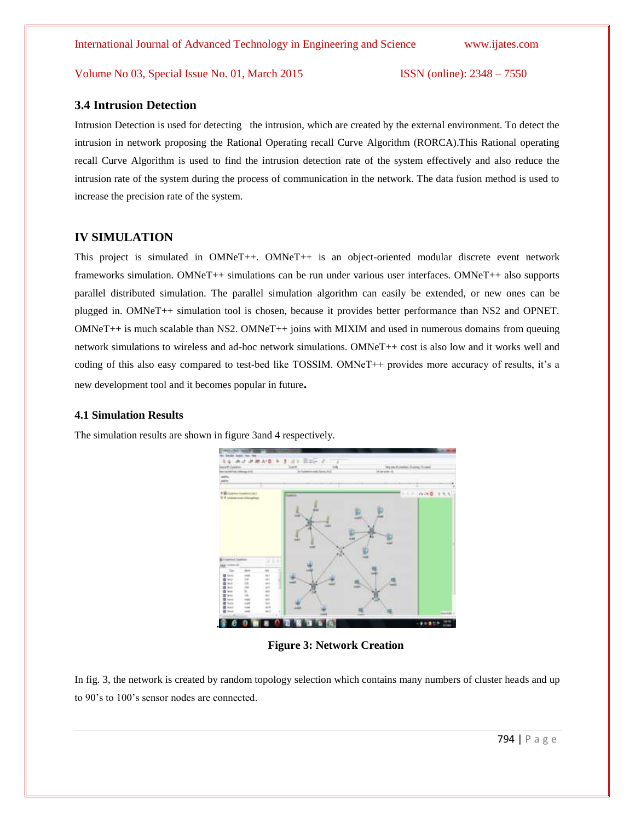# **3.4 Intrusion Detection**

Intrusion Detection is used for detecting the intrusion, which are created by the external environment. To detect the intrusion in network proposing the Rational Operating recall Curve Algorithm (RORCA).This Rational operating recall Curve Algorithm is used to find the intrusion detection rate of the system effectively and also reduce the intrusion rate of the system during the process of communication in the network. The data fusion method is used to increase the precision rate of the system.

# **IV SIMULATION**

This project is simulated in OMNeT++. OMNeT++ is an object-oriented modular discrete event network frameworks simulation. OMNeT++ simulations can be run under various user interfaces. OMNeT++ also supports parallel distributed simulation. The parallel simulation algorithm can easily be extended, or new ones can be plugged in. OMNeT++ simulation tool is chosen, because it provides better performance than NS2 and OPNET. OMNeT++ is much scalable than NS2. OMNeT++ joins with MIXIM and used in numerous domains from queuing network simulations to wireless and ad-hoc network simulations. OMNeT++ cost is also low and it works well and coding of this also easy compared to test-bed like TOSSIM. OMNeT++ provides more accuracy of results, it's a new development tool and it becomes popular in future**.** 

### **4.1 Simulation Results**

The simulation results are shown in figure 3and 4 respectively.



**Figure 3: Network Creation**

In fig. 3, the network is created by random topology selection which contains many numbers of cluster heads and up to 90's to 100's sensor nodes are connected.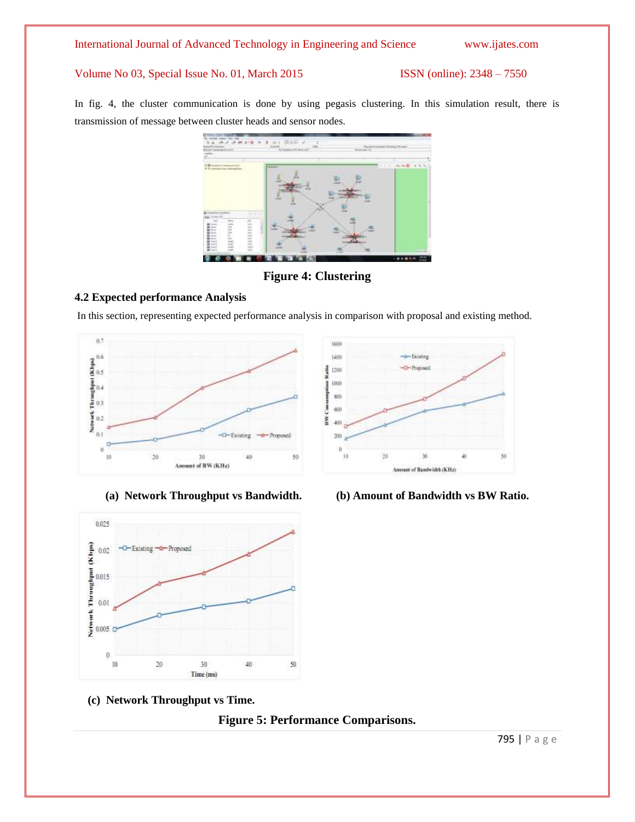In fig. 4, the cluster communication is done by using pegasis clustering. In this simulation result, there is transmission of message between cluster heads and sensor nodes.



**Figure 4: Clustering**

# **4.2 Expected performance Analysis**

In this section, representing expected performance analysis in comparison with proposal and existing method.





**(c) Network Throughput vs Time.**





**(a) Network Throughput vs Bandwidth. (b) Amount of Bandwidth vs BW Ratio.**